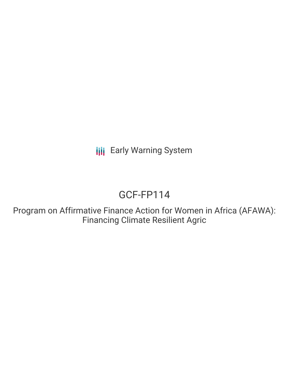**III** Early Warning System

# GCF-FP114

Program on Affirmative Finance Action for Women in Africa (AFAWA): Financing Climate Resilient Agric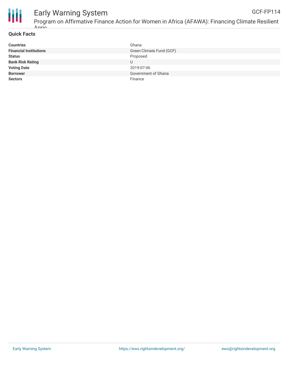

#### **Quick Facts**

Agric

| <b>Countries</b>              | Ghana                    |
|-------------------------------|--------------------------|
| <b>Financial Institutions</b> | Green Climate Fund (GCF) |
| <b>Status</b>                 | Proposed                 |
| <b>Bank Risk Rating</b>       | U                        |
| <b>Voting Date</b>            | 2019-07-06               |
| <b>Borrower</b>               | Government of Ghana      |
| <b>Sectors</b>                | Finance                  |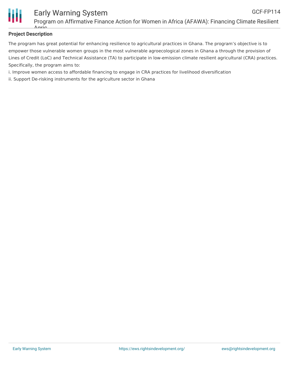

### **Project Description**

Agric

The program has great potential for enhancing resilience to agricultural practices in Ghana. The program's objective is to empower those vulnerable women groups in the most vulnerable agroecological zones in Ghana a through the provision of Lines of Credit (LoC) and Technical Assistance (TA) to participate in low-emission climate resilient agricultural (CRA) practices. Specifically, the program aims to:

- i. Improve women access to affordable financing to engage in CRA practices for livelihood diversification
- ii. Support De-risking instruments for the agriculture sector in Ghana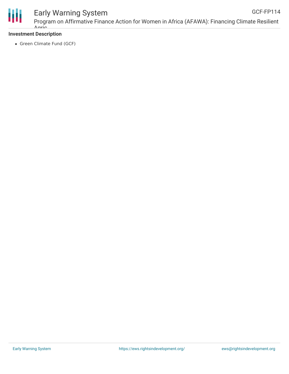

#### Early Warning System Program on Affirmative Finance Action for Women in Africa (AFAWA): Financing Climate Resilient GCF-FP114

## **Investment Description**

Agric

• Green Climate Fund (GCF)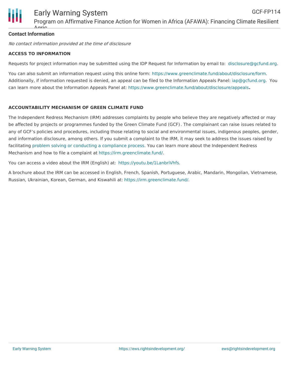

#### **Contact Information** Aario

No contact information provided at the time of disclosure

#### **ACCESS TO INFORMATION**

Requests for project information may be submitted using the IDP Request for Information by email to: [disclosure@gcfund.org](mailto:disclosure@gcfund.org).

You can also submit an information request using this online form: <https://www.greenclimate.fund/about/disclosure/form>. Additionally, if information requested is denied, an appeal can be filed to the Information Appeals Panel: [iap@gcfund.org](mailto:iap@gcfund.org). You can learn more about the Information Appeals Panel at: <https://www.greenclimate.fund/about/disclosure/appeals>**.**

#### **ACCOUNTABILITY MECHANISM OF GREEN CLIMATE FUND**

The Independent Redress Mechanism (IRM) addresses complaints by people who believe they are negatively affected or may be affected by projects or programmes funded by the Green Climate Fund (GCF). The complainant can raise issues related to any of GCF's policies and procedures, including those relating to social and environmental issues, indigenous peoples, gender, and information disclosure, among others. If you submit a complaint to the IRM, it may seek to address the issues raised by facilitating problem solving or conducting a [compliance](https://irm.greenclimate.fund/about-the-irm/how-we-work) process. You can learn more about the Independent Redress Mechanism and how to file a complaint at <https://irm.greenclimate.fund/>.

You can access a video about the IRM (English) at: <https://youtu.be/1LanbriVhfs>.

A brochure about the IRM can be accessed in English, French, Spanish, Portuguese, Arabic, Mandarin, Mongolian, Vietnamese, Russian, Ukrainian, Korean, German, and Kiswahili at: <https://irm.greenclimate.fund/>.